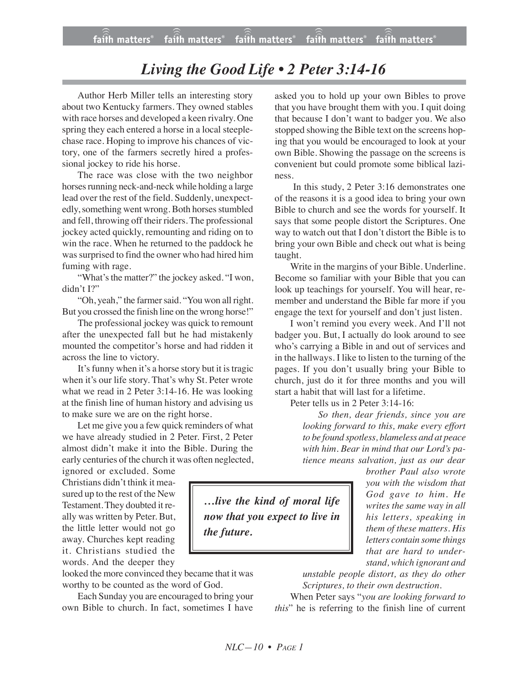## *Living the Good Life • 2 Peter 3:14-16*

Author Herb Miller tells an interesting story about two Kentucky farmers. They owned stables with race horses and developed a keen rivalry. One spring they each entered a horse in a local steeplechase race. Hoping to improve his chances of victory, one of the farmers secretly hired a professional jockey to ride his horse.

The race was close with the two neighbor horses running neck-and-neck while holding a large lead over the rest of the field. Suddenly, unexpectedly, something went wrong. Both horses stumbled and fell, throwing off their riders. The professional jockey acted quickly, remounting and riding on to win the race. When he returned to the paddock he was surprised to find the owner who had hired him fuming with rage.

"What's the matter?" the jockey asked. "I won, didn't I?"

"Oh, yeah," the farmer said. "You won all right. But you crossed the finish line on the wrong horse!"

The professional jockey was quick to remount after the unexpected fall but he had mistakenly mounted the competitor's horse and had ridden it across the line to victory.

It's funny when it's a horse story but it is tragic when it's our life story. That's why St. Peter wrote what we read in 2 Peter 3:14-16. He was looking at the finish line of human history and advising us to make sure we are on the right horse.

Let me give you a few quick reminders of what we have already studied in 2 Peter. First, 2 Peter almost didn't make it into the Bible. During the early centuries of the church it was often neglected,

ignored or excluded. Some Christians didn't think it measured up to the rest of the New Testament.They doubted it really was written by Peter. But, the little letter would not go away. Churches kept reading it. Christians studied the words. And the deeper they

looked the more convinced they became that it was worthy to be counted as the word of God.

Each Sunday you are encouraged to bring your own Bible to church. In fact, sometimes I have

asked you to hold up your own Bibles to prove that you have brought them with you. I quit doing that because I don't want to badger you. We also stopped showing the Bible text on the screens hoping that you would be encouraged to look at your own Bible. Showing the passage on the screens is convenient but could promote some biblical laziness.

In this study, 2 Peter 3:16 demonstrates one of the reasons it is a good idea to bring your own Bible to church and see the words for yourself. It says that some people distort the Scriptures. One way to watch out that I don't distort the Bible is to bring your own Bible and check out what is being taught.

Write in the margins of your Bible. Underline. Become so familiar with your Bible that you can look up teachings for yourself. You will hear, remember and understand the Bible far more if you engage the text for yourself and don't just listen.

I won't remind you every week. And I'll not badger you. But, I actually do look around to see who's carrying a Bible in and out of services and in the hallways. I like to listen to the turning of the pages. If you don't usually bring your Bible to church, just do it for three months and you will start a habit that will last for a lifetime.

Peter tells us in 2 Peter 3:14-16:

*So then, dear friends, since you are looking forward to this, make every effort to be found spotless, blameless and at peace with him. Bear in mind that our Lord's patience means salvation, just as our dear*

> *brother Paul also wrote you with the wisdom that God gave to him. He writes the same way in all his letters, speaking in them of these matters. His letters contain some things that are hard to understand, which ignorant and*

*unstable people distort, as they do other Scriptures, to their own destruction.*

When Peter says "*you are looking forward to this*" he is referring to the finish line of current

*…live the kind of moral life now that you expect to live in the future.*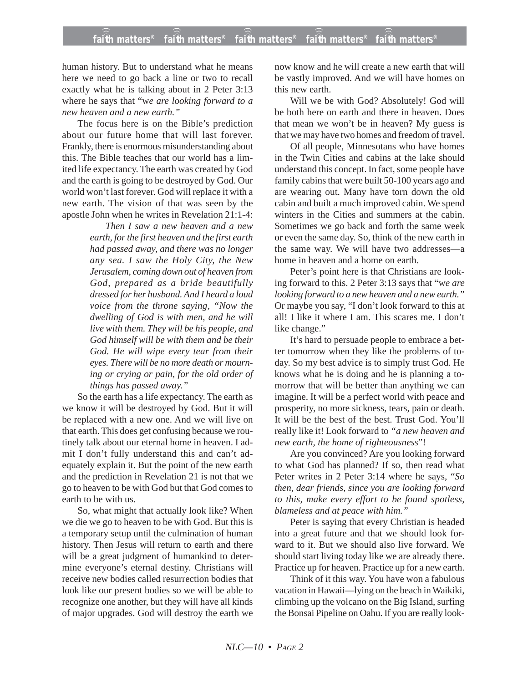human history. But to understand what he means here we need to go back a line or two to recall exactly what he is talking about in 2 Peter 3:13 where he says that "w*e are looking forward to a new heaven and a new earth."*

The focus here is on the Bible's prediction about our future home that will last forever. Frankly, there is enormous misunderstanding about this. The Bible teaches that our world has a limited life expectancy. The earth was created by God and the earth is going to be destroyed by God. Our world won't last forever. God will replace it with a new earth. The vision of that was seen by the apostle John when he writes in Revelation 21:1-4:

> *Then I saw a new heaven and a new earth, for the first heaven and the first earth had passed away, and there was no longer any sea. I saw the Holy City, the New Jerusalem, coming down out of heaven from God, prepared as a bride beautifully dressed for her husband. And I heard a loud voice from the throne saying, "Now the dwelling of God is with men, and he will live with them. They will be his people, and God himself will be with them and be their God. He will wipe every tear from their eyes. There will be no more death or mourning or crying or pain, for the old order of things has passed away."*

So the earth has a life expectancy. The earth as we know it will be destroyed by God. But it will be replaced with a new one. And we will live on that earth. This does get confusing because we routinely talk about our eternal home in heaven. I admit I don't fully understand this and can't adequately explain it. But the point of the new earth and the prediction in Revelation 21 is not that we go to heaven to be with God but that God comes to earth to be with us.

So, what might that actually look like? When we die we go to heaven to be with God. But this is a temporary setup until the culmination of human history. Then Jesus will return to earth and there will be a great judgment of humankind to determine everyone's eternal destiny. Christians will receive new bodies called resurrection bodies that look like our present bodies so we will be able to recognize one another, but they will have all kinds of major upgrades. God will destroy the earth we

now know and he will create a new earth that will be vastly improved. And we will have homes on this new earth.

Will we be with God? Absolutely! God will be both here on earth and there in heaven. Does that mean we won't be in heaven? My guess is that we may have two homes and freedom of travel.

Of all people, Minnesotans who have homes in the Twin Cities and cabins at the lake should understand this concept. In fact, some people have family cabins that were built 50-100 years ago and are wearing out. Many have torn down the old cabin and built a much improved cabin. We spend winters in the Cities and summers at the cabin. Sometimes we go back and forth the same week or even the same day. So, think of the new earth in the same way. We will have two addresses—a home in heaven and a home on earth.

Peter's point here is that Christians are looking forward to this. 2 Peter 3:13 says that "w*e are looking forward to a new heaven and a new earth."* Or maybe you say, "I don't look forward to this at all! I like it where I am. This scares me. I don't like change."

It's hard to persuade people to embrace a better tomorrow when they like the problems of today. So my best advice is to simply trust God. He knows what he is doing and he is planning a tomorrow that will be better than anything we can imagine. It will be a perfect world with peace and prosperity, no more sickness, tears, pain or death. It will be the best of the best. Trust God. You'll really like it! Look forward to *"a new heaven and new earth, the home of righteousness*"!

Are you convinced? Are you looking forward to what God has planned? If so, then read what Peter writes in 2 Peter 3:14 where he says, "*So then, dear friends, since you are looking forward to this, make every effort to be found spotless, blameless and at peace with him."*

Peter is saying that every Christian is headed into a great future and that we should look forward to it. But we should also live forward. We should start living today like we are already there. Practice up for heaven. Practice up for a new earth.

Think of it this way. You have won a fabulous vacation in Hawaii—lying on the beach in Waikiki, climbing up the volcano on the Big Island, surfing the Bonsai Pipeline on Oahu. If you are really look-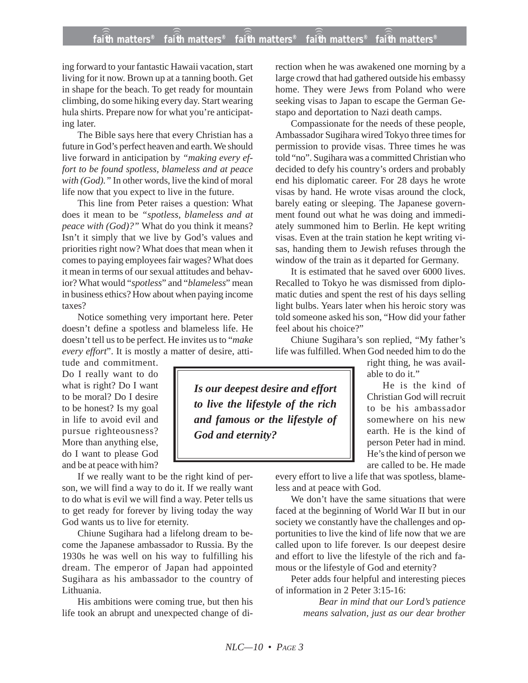## **faith matters® faith matters® faith matters® faith matters® faith matters®** ))) ))) ))) ))) )))

ing forward to your fantastic Hawaii vacation, start living for it now. Brown up at a tanning booth. Get in shape for the beach. To get ready for mountain climbing, do some hiking every day. Start wearing hula shirts. Prepare now for what you're anticipating later.

The Bible says here that every Christian has a future in God's perfect heaven and earth. We should live forward in anticipation by *"making every effort to be found spotless, blameless and at peace with (God)."* In other words, live the kind of moral life now that you expect to live in the future.

This line from Peter raises a question: What does it mean to be *"spotless, blameless and at peace with (God)?"* What do you think it means? Isn't it simply that we live by God's values and priorities right now? What does that mean when it comes to paying employees fair wages? What does it mean in terms of our sexual attitudes and behavior? What would "*spotless*" and "*blameless*" mean in business ethics? How about when paying income taxes?

Notice something very important here. Peter doesn't define a spotless and blameless life. He doesn't tell us to be perfect. He invites us to "*make every effort*". It is mostly a matter of desire, atti-

tude and commitment. Do I really want to do what is right? Do I want to be moral? Do I desire to be honest? Is my goal in life to avoid evil and pursue righteousness? More than anything else, do I want to please God and be at peace with him?

If we really want to be the right kind of person, we will find a way to do it. If we really want to do what is evil we will find a way. Peter tells us to get ready for forever by living today the way God wants us to live for eternity.

Chiune Sugihara had a lifelong dream to become the Japanese ambassador to Russia. By the 1930s he was well on his way to fulfilling his dream. The emperor of Japan had appointed Sugihara as his ambassador to the country of Lithuania.

His ambitions were coming true, but then his life took an abrupt and unexpected change of direction when he was awakened one morning by a large crowd that had gathered outside his embassy home. They were Jews from Poland who were seeking visas to Japan to escape the German Gestapo and deportation to Nazi death camps.

Compassionate for the needs of these people, Ambassador Sugihara wired Tokyo three times for permission to provide visas. Three times he was told "no". Sugihara was a committed Christian who decided to defy his country's orders and probably end his diplomatic career. For 28 days he wrote visas by hand. He wrote visas around the clock, barely eating or sleeping. The Japanese government found out what he was doing and immediately summoned him to Berlin. He kept writing visas. Even at the train station he kept writing visas, handing them to Jewish refuses through the window of the train as it departed for Germany.

It is estimated that he saved over 6000 lives. Recalled to Tokyo he was dismissed from diplomatic duties and spent the rest of his days selling light bulbs. Years later when his heroic story was told someone asked his son, "How did your father feel about his choice?"

Chiune Sugihara's son replied, "My father's life was fulfilled. When God needed him to do the

> right thing, he was available to do it."

He is the kind of Christian God will recruit to be his ambassador somewhere on his new earth. He is the kind of person Peter had in mind. He's the kind of person we are called to be. He made

*Is our deepest desire and effort to live the lifestyle of the rich and famous or the lifestyle of God and eternity?*

> every effort to live a life that was spotless, blameless and at peace with God.

> We don't have the same situations that were faced at the beginning of World War II but in our society we constantly have the challenges and opportunities to live the kind of life now that we are called upon to life forever. Is our deepest desire and effort to live the lifestyle of the rich and famous or the lifestyle of God and eternity?

> Peter adds four helpful and interesting pieces of information in 2 Peter 3:15-16:

> > *Bear in mind that our Lord's patience means salvation, just as our dear brother*